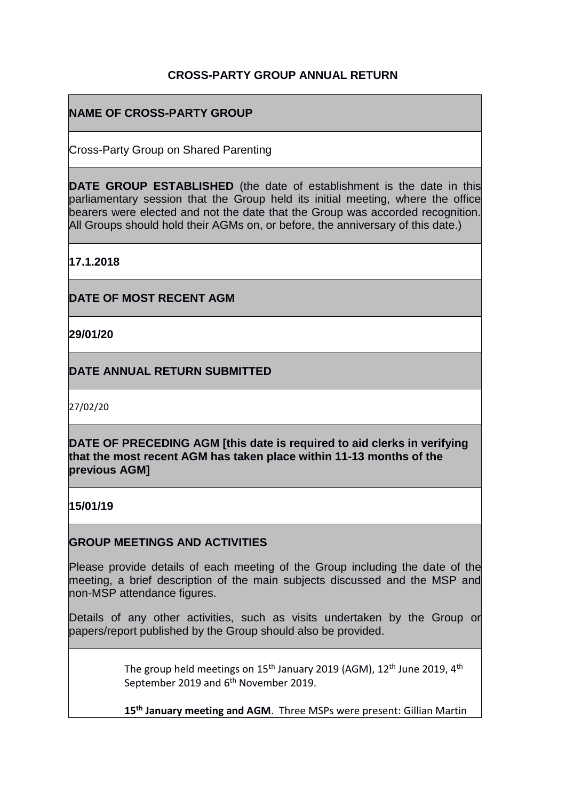## **CROSS-PARTY GROUP ANNUAL RETURN**

## **NAME OF CROSS-PARTY GROUP**

Cross-Party Group on Shared Parenting

**DATE GROUP ESTABLISHED** (the date of establishment is the date in this parliamentary session that the Group held its initial meeting, where the office bearers were elected and not the date that the Group was accorded recognition. All Groups should hold their AGMs on, or before, the anniversary of this date.)

**17.1.2018**

**DATE OF MOST RECENT AGM**

**29/01/20**

**DATE ANNUAL RETURN SUBMITTED**

27/02/20

**DATE OF PRECEDING AGM [this date is required to aid clerks in verifying that the most recent AGM has taken place within 11-13 months of the previous AGM]**

**15/01/19**

## **GROUP MEETINGS AND ACTIVITIES**

Please provide details of each meeting of the Group including the date of the meeting, a brief description of the main subjects discussed and the MSP and non-MSP attendance figures.

Details of any other activities, such as visits undertaken by the Group or papers/report published by the Group should also be provided.

> The group held meetings on  $15<sup>th</sup>$  January 2019 (AGM),  $12<sup>th</sup>$  June 2019, 4<sup>th</sup> September 2019 and 6<sup>th</sup> November 2019.

> **15th January meeting and AGM**. Three MSPs were present: Gillian Martin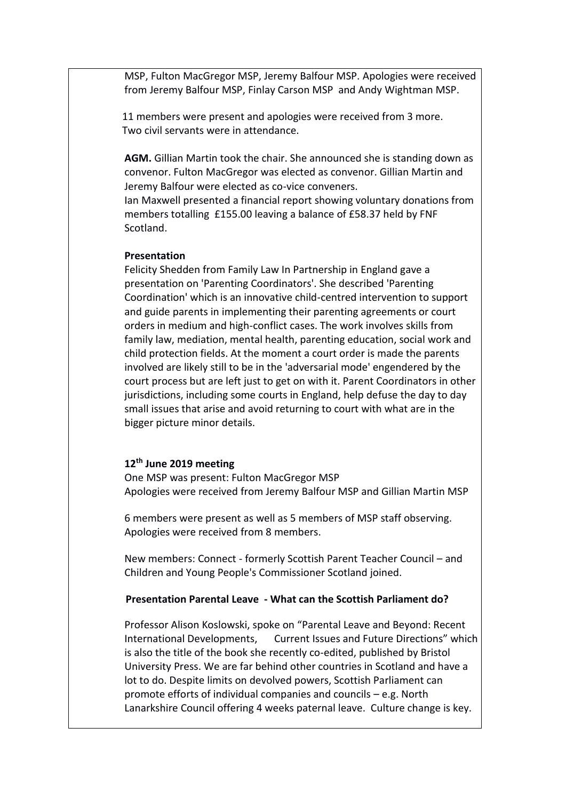MSP, Fulton MacGregor MSP, Jeremy Balfour MSP. Apologies were received from Jeremy Balfour MSP, Finlay Carson MSP and Andy Wightman MSP.

 11 members were present and apologies were received from 3 more. Two civil servants were in attendance.

**AGM.** Gillian Martin took the chair. She announced she is standing down as convenor. Fulton MacGregor was elected as convenor. Gillian Martin and Jeremy Balfour were elected as co-vice conveners.

Ian Maxwell presented a financial report showing voluntary donations from members totalling £155.00 leaving a balance of £58.37 held by FNF Scotland.

#### **Presentation**

Felicity Shedden from Family Law In Partnership in England gave a presentation on 'Parenting Coordinators'. She described 'Parenting Coordination' which is an innovative child-centred intervention to support and guide parents in implementing their parenting agreements or court orders in medium and high-conflict cases. The work involves skills from family law, mediation, mental health, parenting education, social work and child protection fields. At the moment a court order is made the parents involved are likely still to be in the 'adversarial mode' engendered by the court process but are left just to get on with it. Parent Coordinators in other jurisdictions, including some courts in England, help defuse the day to day small issues that arise and avoid returning to court with what are in the bigger picture minor details.

### **12th June 2019 meeting**

One MSP was present: Fulton MacGregor MSP Apologies were received from Jeremy Balfour MSP and Gillian Martin MSP

6 members were present as well as 5 members of MSP staff observing. Apologies were received from 8 members.

New members: Connect - formerly Scottish Parent Teacher Council – and Children and Young People's Commissioner Scotland joined.

## **Presentation Parental Leave - What can the Scottish Parliament do?**

Professor Alison Koslowski, spoke on "Parental Leave and Beyond: Recent International Developments, Current Issues and Future Directions" which is also the title of the book she recently co-edited, published by Bristol University Press. We are far behind other countries in Scotland and have a lot to do. Despite limits on devolved powers, Scottish Parliament can promote efforts of individual companies and councils – e.g. North Lanarkshire Council offering 4 weeks paternal leave. Culture change is key.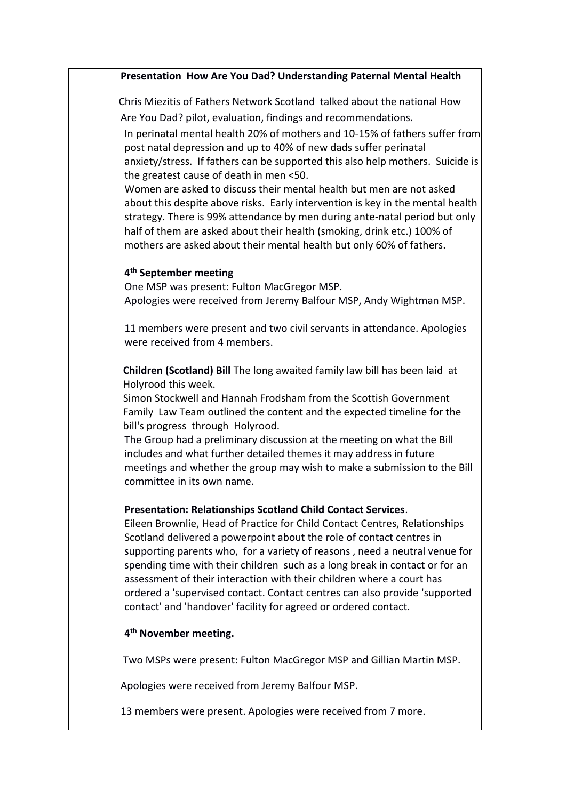#### **Presentation How Are You Dad? Understanding Paternal Mental Health**

 Chris Miezitis of Fathers Network Scotland talked about the national How Are You Dad? pilot, evaluation, findings and recommendations.

In perinatal mental health 20% of mothers and 10-15% of fathers suffer from post natal depression and up to 40% of new dads suffer perinatal

anxiety/stress. If fathers can be supported this also help mothers. Suicide is the greatest cause of death in men <50.

Women are asked to discuss their mental health but men are not asked about this despite above risks. Early intervention is key in the mental health strategy. There is 99% attendance by men during ante-natal period but only half of them are asked about their health (smoking, drink etc.) 100% of mothers are asked about their mental health but only 60% of fathers.

#### **4 th September meeting**

One MSP was present: Fulton MacGregor MSP. Apologies were received from Jeremy Balfour MSP, Andy Wightman MSP.

11 members were present and two civil servants in attendance. Apologies were received from 4 members.

 **Children (Scotland) Bill** The long awaited family law bill has been laid at Holyrood this week.

 Simon Stockwell and Hannah Frodsham from the Scottish Government Family Law Team outlined the content and the expected timeline for the bill's progress through Holyrood.

The Group had a preliminary discussion at the meeting on what the Bill includes and what further detailed themes it may address in future meetings and whether the group may wish to make a submission to the Bill committee in its own name.

#### **Presentation: Relationships Scotland Child Contact Services**.

Eileen Brownlie, Head of Practice for Child Contact Centres, Relationships Scotland delivered a powerpoint about the role of contact centres in supporting parents who, for a variety of reasons , need a neutral venue for spending time with their children such as a long break in contact or for an assessment of their interaction with their children where a court has ordered a 'supervised contact. Contact centres can also provide 'supported contact' and 'handover' facility for agreed or ordered contact.

### **4 th November meeting.**

Two MSPs were present: Fulton MacGregor MSP and Gillian Martin MSP.

Apologies were received from Jeremy Balfour MSP.

13 members were present. Apologies were received from 7 more.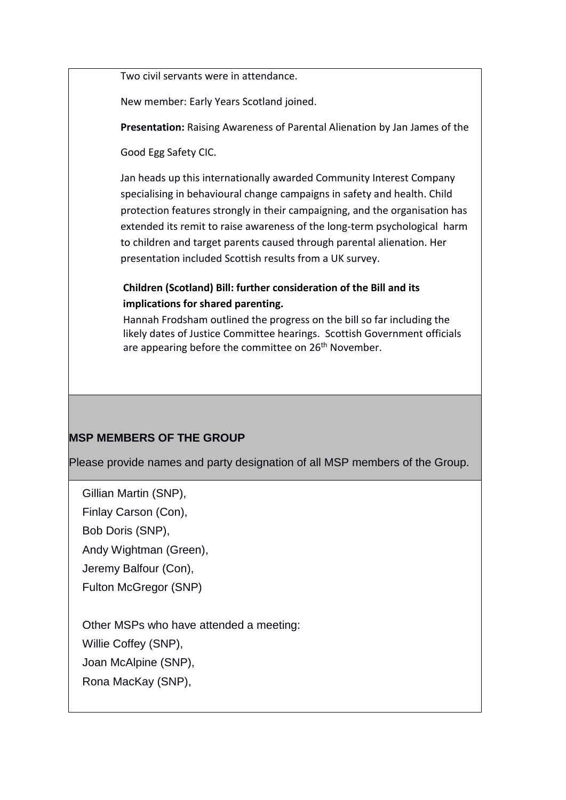Two civil servants were in attendance.

New member: Early Years Scotland joined.

 **Presentation:** Raising Awareness of Parental Alienation by Jan James of the

Good Egg Safety CIC.

 Jan heads up this internationally awarded Community Interest Company specialising in behavioural change campaigns in safety and health. Child protection features strongly in their campaigning, and the organisation has extended its remit to raise awareness of the long-term psychological harm to children and target parents caused through parental alienation. Her presentation included Scottish results from a UK survey.

## **Children (Scotland) Bill: further consideration of the Bill and its implications for shared parenting.**

 Hannah Frodsham outlined the progress on the bill so far including the likely dates of Justice Committee hearings. Scottish Government officials are appearing before the committee on 26<sup>th</sup> November.

# **MSP MEMBERS OF THE GROUP**

Please provide names and party designation of all MSP members of the Group.

Gillian Martin (SNP),

Finlay Carson (Con),

Bob Doris (SNP),

Andy Wightman (Green),

Jeremy Balfour (Con),

Fulton McGregor (SNP)

Other MSPs who have attended a meeting: Willie Coffey (SNP), Joan McAlpine (SNP),

Rona MacKay (SNP),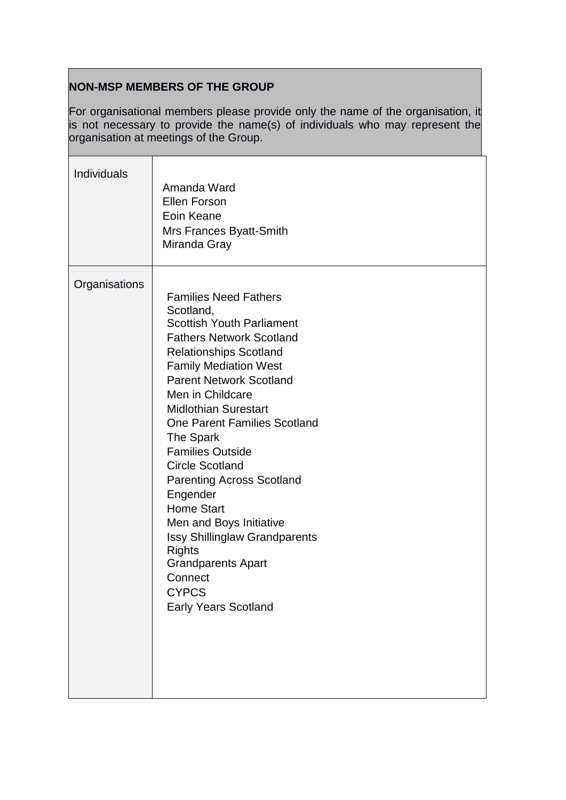# **NON-MSP MEMBERS OF THE GROUP**

For organisational members please provide only the name of the organisation, it is not necessary to provide the name(s) of individuals who may represent the organisation at meetings of the Group.

| Individuals   | Amanda Ward<br><b>Ellen Forson</b><br>Eoin Keane<br>Mrs Frances Byatt-Smith<br>Miranda Gray                                                                                                                                                                                                                                                                                                                                                                                                                                                                                                                              |
|---------------|--------------------------------------------------------------------------------------------------------------------------------------------------------------------------------------------------------------------------------------------------------------------------------------------------------------------------------------------------------------------------------------------------------------------------------------------------------------------------------------------------------------------------------------------------------------------------------------------------------------------------|
| Organisations | <b>Families Need Fathers</b><br>Scotland,<br><b>Scottish Youth Parliament</b><br><b>Fathers Network Scotland</b><br><b>Relationships Scotland</b><br><b>Family Mediation West</b><br><b>Parent Network Scotland</b><br>Men in Childcare<br><b>Midlothian Surestart</b><br><b>One Parent Families Scotland</b><br>The Spark<br><b>Families Outside</b><br><b>Circle Scotland</b><br><b>Parenting Across Scotland</b><br>Engender<br><b>Home Start</b><br>Men and Boys Initiative<br><b>Issy Shillinglaw Grandparents</b><br><b>Rights</b><br><b>Grandparents Apart</b><br>Connect<br><b>CYPCS</b><br>Early Years Scotland |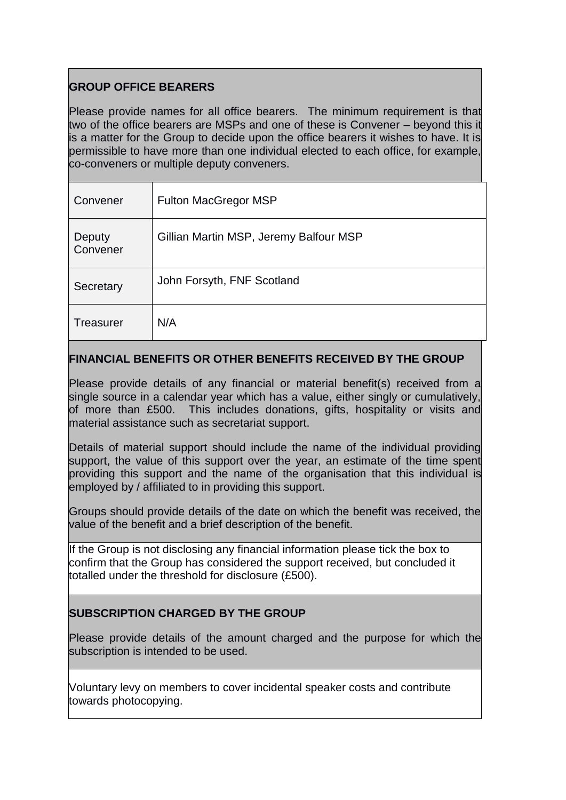# **GROUP OFFICE BEARERS**

Please provide names for all office bearers. The minimum requirement is that two of the office bearers are MSPs and one of these is Convener – beyond this it is a matter for the Group to decide upon the office bearers it wishes to have. It is permissible to have more than one individual elected to each office, for example, co-conveners or multiple deputy conveners.

| Convener           | <b>Fulton MacGregor MSP</b>            |
|--------------------|----------------------------------------|
| Deputy<br>Convener | Gillian Martin MSP, Jeremy Balfour MSP |
| Secretary          | John Forsyth, FNF Scotland             |
| <b>Treasurer</b>   | N/A                                    |

## **FINANCIAL BENEFITS OR OTHER BENEFITS RECEIVED BY THE GROUP**

Please provide details of any financial or material benefit(s) received from a single source in a calendar year which has a value, either singly or cumulatively, of more than £500. This includes donations, gifts, hospitality or visits and material assistance such as secretariat support.

Details of material support should include the name of the individual providing support, the value of this support over the year, an estimate of the time spent providing this support and the name of the organisation that this individual is employed by / affiliated to in providing this support.

Groups should provide details of the date on which the benefit was received, the value of the benefit and a brief description of the benefit.

If the Group is not disclosing any financial information please tick the box to confirm that the Group has considered the support received, but concluded it totalled under the threshold for disclosure (£500).

# **SUBSCRIPTION CHARGED BY THE GROUP**

Please provide details of the amount charged and the purpose for which the subscription is intended to be used.

Voluntary levy on members to cover incidental speaker costs and contribute towards photocopying.